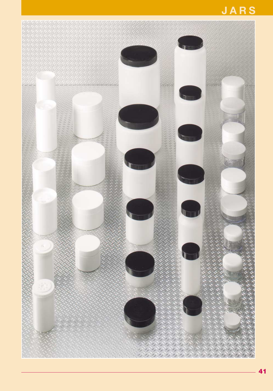# **JARS**

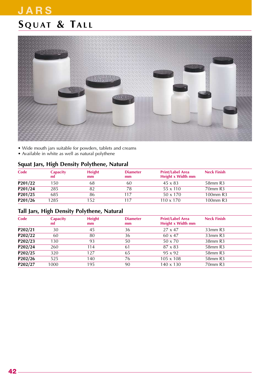# **S QUAT & TALL JARS**



- Wide mouth jars suitable for powders, tablets and creams
- Available in white as well as natural polythene

#### **Squat Jars, High Density Polythene, Natural**

| Code         | <b>Capacity</b><br>ml | <b>Height</b><br>mm | <b>Diameter</b><br>mm | <b>Print/Label Area</b><br>Height x Width mm | <b>Neck Finish</b>              |
|--------------|-----------------------|---------------------|-----------------------|----------------------------------------------|---------------------------------|
| P201/22      | 150                   | 68                  | 60                    | $45 \times 83$                               | 58 <sub>mm</sub> R <sub>3</sub> |
| $P_{201/24}$ | 285                   |                     | 78                    | $55 \times 110$                              | 70mm R3                         |
| P201/25      | 685                   | 86                  | 117                   | $50 \times 170$                              | 100mm R3                        |
| P201/26      | 1285                  | 152                 |                       | $110 \times 170$                             | 100mm R3                        |

#### **Tall Jars, High Density Polythene, Natural**

| Code    | <b>Capacity</b><br>ml | <b>Height</b><br>mm | <b>Diameter</b><br>mm | <b>Print/Label Area</b><br>Height x Width mm | <b>Neck Finish</b>              |
|---------|-----------------------|---------------------|-----------------------|----------------------------------------------|---------------------------------|
| P202/21 | 30                    | 45                  | 36                    | $27 \times 47$                               | 33mm R3                         |
| P202/22 | 60                    | 80                  | 36                    | $60 \times 47$                               | $33$ mm $R3$                    |
| P202/23 | 130                   | 93                  | 50                    | $50 \times 70$                               | 38mm R3                         |
| P202/24 | 260                   | 114                 | 61                    | $87 \times 83$                               | 58 <sub>mm</sub> R <sub>3</sub> |
| P202/25 | 320                   | 127                 | 65                    | $95 \times 92$                               | 58 <sub>mm</sub> R <sub>3</sub> |
| P202/26 | 525                   | 140                 | 76                    | $105 \times 108$                             | 58 <sub>mm</sub> R <sub>3</sub> |
| P202/27 | 1000                  | 195                 | 90                    | $140 \times 130$                             | 70mm R3                         |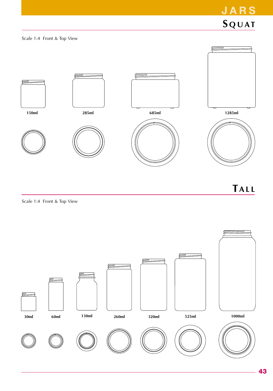

**TALL**

Scale 1:4 Front & Top View

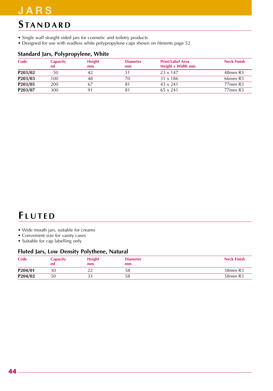### **JARS**

### **S TANDARD**

- Single wall straight sided jars for cosmetic and toiletry products
- Designed for use with wadless white polypropylene caps shown on fitments page 52

#### **Standard Jars, Polypropylene, White**

| Code                 | <b>Capacity</b><br>ml | <b>Height</b><br>mm | <b>Diameter</b><br>mm | <b>Print/Label Area</b><br>Height x Width mm | <b>Neck Finish</b>              |
|----------------------|-----------------------|---------------------|-----------------------|----------------------------------------------|---------------------------------|
| P203/02              | 50                    | 42                  |                       | $23 \times 147$                              | 48mm R3                         |
| P203/03              | 100                   | 48                  | 70                    | $31 \times 186$                              | 66 <sub>mm</sub> R <sub>3</sub> |
| P <sub>203</sub> /05 | 200                   | 67                  |                       | $43 \times 241$                              | 77 <sub>mm</sub> R <sub>3</sub> |
| P203/07              | 300                   | 91                  |                       | $65 \times 241$                              | 77 <sub>mm</sub> R <sub>3</sub> |

### **F LUTED**

- Wide mouth jars, suitable for creams
- Convenient size for vanity cases
- Suitable for cap labelling only

#### **Fluted Jars, Low Density Polythene, Natural**

| Code    | Capacity<br>ml | <b>Height</b><br>mm | <b>Diameter</b><br>mm | <b>Neck Finish</b>              |
|---------|----------------|---------------------|-----------------------|---------------------------------|
| P204/01 | 30             | $\sim$ $\sim$       | 58                    | 58 <sub>mm</sub> R <sub>3</sub> |
| P204/02 | 50             | ر ر                 | 58                    | 58 <sub>mm</sub> R <sub>3</sub> |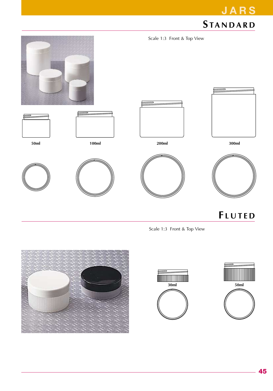

**F LUTED**

**JARS**

Scale 1:3 Front & Top View





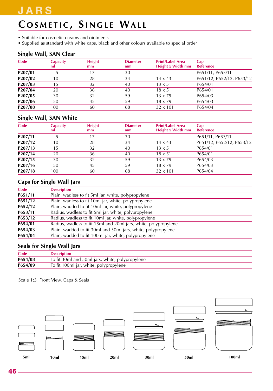### **JARS**

# **C OSMETIC , S INGLE WALL**

- Suitable for cosmetic creams and ointments
- Supplied as standard with white caps, black and other colours available to special order

#### **Single Wall, SAN Clear**

| Code                 | <b>Capacity</b><br>ml | <b>Height</b><br>mm | <b>Diameter</b><br>mm | <b>Print/Label Area</b><br>Height x Width mm | Cap<br><b>Reference</b>   |
|----------------------|-----------------------|---------------------|-----------------------|----------------------------------------------|---------------------------|
| P <sub>207</sub> /01 |                       |                     | 30                    |                                              | P651/11, P653/11          |
| P207/02              | 10                    | 28                  | 34                    | $14 \times 43$                               | P651/12, P652/12, P653/12 |
| P207/03              | 15                    | 32                  | 40                    | $13 \times 51$                               | P654/01                   |
| P207/04              | 20                    | 36                  | 40                    | $18 \times 51$                               | P654/01                   |
| P207/05              | 30                    | 32                  | 59                    | $13 \times 79$                               | P654/03                   |
| P207/06              | 50                    | 45                  | 59                    | $18 \times 79$                               | P654/03                   |
| P207/08              | 100                   | 60                  | 68                    | $32 \times 101$                              | P654/04                   |

#### **Single Wall, SAN White**

| Code                 | <b>Capacity</b><br>ml | <b>Height</b><br>mm | <b>Diameter</b><br>mm | <b>Print/Label Area</b><br>Height x Width mm | Cap<br><b>Reference</b>   |
|----------------------|-----------------------|---------------------|-----------------------|----------------------------------------------|---------------------------|
| P <sub>207</sub> /11 |                       | 17                  | 30                    |                                              | P651/11, P653/11          |
| P207/12              | 10                    | 28                  | 34                    | $14 \times 43$                               | P651/12, P652/12, P653/12 |
| P207/13              | 15                    | 32                  | 40                    | $13 \times 51$                               | P654/01                   |
| P <sub>207</sub> /14 | 20                    | 36                  | 40                    | $18 \times 51$                               | P654/01                   |
| $P_{207/15}$         | 30                    | 32                  | 59                    | $13 \times 79$                               | P654/03                   |
| P207/16              | 50                    | 45                  | 59                    | $18 \times 79$                               | P654/03                   |
| $P_{207/18}$         | 100                   | 60                  | 68                    | $32 \times 101$                              | P654/04                   |

#### **Caps for Single Wall Jars**

| Code    | <b>Description</b>                                              |
|---------|-----------------------------------------------------------------|
| P651/11 | Plain, wadless to fit 5ml jar, white, polypropylene             |
| P651/12 | Plain, wadless to fit 10ml jar, white, polypropylene            |
| P652/12 | Plain, wadded to fit 10ml jar, white, polypropylene             |
| P653/11 | Radius, wadless to fit 5ml jar, white, polypropylene            |
| P653/12 | Radius, wadless to fit 10ml jar, white, polypropylene           |
| P654/01 | Radius, wadless to fit 15ml and 20ml jars, white, polypropylene |
| P654/03 | Plain, wadded to fit 30ml and 50ml jars, white, polypropylene   |
| P654/04 | Plain, wadded to fit 100ml jar, white, polypropylene            |
|         |                                                                 |

#### **Seals for Single Wall Jars**

| Code    | Description                                     |
|---------|-------------------------------------------------|
| P654/08 | To fit 30ml and 50ml jars, white, polypropylene |
| P654/09 | To fit 100ml jar, white, polypropylene          |

Scale 1:3 Front View, Caps & Seals

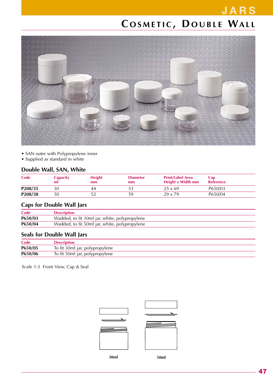## **JARS C OSMETIC , D OUBLE WALL**



- SAN outer with Polypropylene inner
- Supplied as standard in white

#### **Double Wall, SAN, White**

| Code    | Capacity<br>ml | <b>Height</b><br>mm | <b>Diameter</b><br>mm | <b>Print/Label Area</b><br>Height x Width mm | Cap<br>Reference |
|---------|----------------|---------------------|-----------------------|----------------------------------------------|------------------|
| P208/35 | 30             | 44                  |                       | $25 \times 69$                               | P650/03          |
| P208/38 | 50             |                     |                       | $29 \times 79$                               | P650/04          |

#### **Caps for Double Wall Jars**

| Code    | <b>Description</b>                            |
|---------|-----------------------------------------------|
| P650/03 | Wadded, to fit 30ml jar, white, polypropylene |
| P650/04 | Wadded, to fit 50ml jar, white, polypropylene |

#### **Seals for Double Wall Jars**

| Code    | <b>Description</b>             |
|---------|--------------------------------|
| P650/05 | To fit 30ml jar, polypropylene |
| P650/06 | To fit 50ml jar, polypropylene |

Scale 1:3 Front View, Cap & Seal